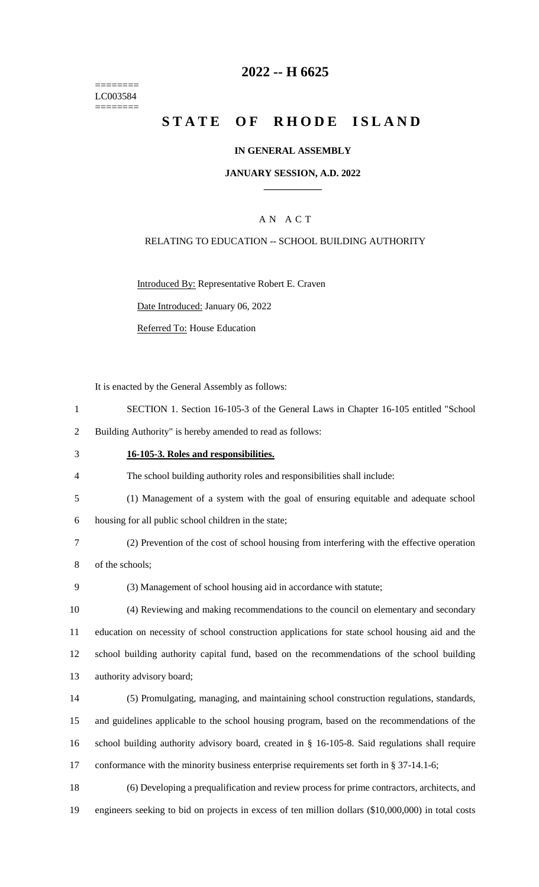======== LC003584 ========

# **2022 -- H 6625**

# **STATE OF RHODE ISLAND**

### **IN GENERAL ASSEMBLY**

### **JANUARY SESSION, A.D. 2022 \_\_\_\_\_\_\_\_\_\_\_\_**

### A N A C T

### RELATING TO EDUCATION -- SCHOOL BUILDING AUTHORITY

Introduced By: Representative Robert E. Craven

Date Introduced: January 06, 2022

Referred To: House Education

It is enacted by the General Assembly as follows:

1 SECTION 1. Section 16-105-3 of the General Laws in Chapter 16-105 entitled "School

2 Building Authority" is hereby amended to read as follows:

- 3 **16-105-3. Roles and responsibilities.**
- 4 The school building authority roles and responsibilities shall include:
- 5 (1) Management of a system with the goal of ensuring equitable and adequate school
- 6 housing for all public school children in the state;

7 (2) Prevention of the cost of school housing from interfering with the effective operation 8 of the schools;

9 (3) Management of school housing aid in accordance with statute;

 (4) Reviewing and making recommendations to the council on elementary and secondary education on necessity of school construction applications for state school housing aid and the school building authority capital fund, based on the recommendations of the school building authority advisory board;

 (5) Promulgating, managing, and maintaining school construction regulations, standards, and guidelines applicable to the school housing program, based on the recommendations of the school building authority advisory board, created in § 16-105-8. Said regulations shall require 17 conformance with the minority business enterprise requirements set forth in § 37-14.1-6;

18 (6) Developing a prequalification and review process for prime contractors, architects, and 19 engineers seeking to bid on projects in excess of ten million dollars (\$10,000,000) in total costs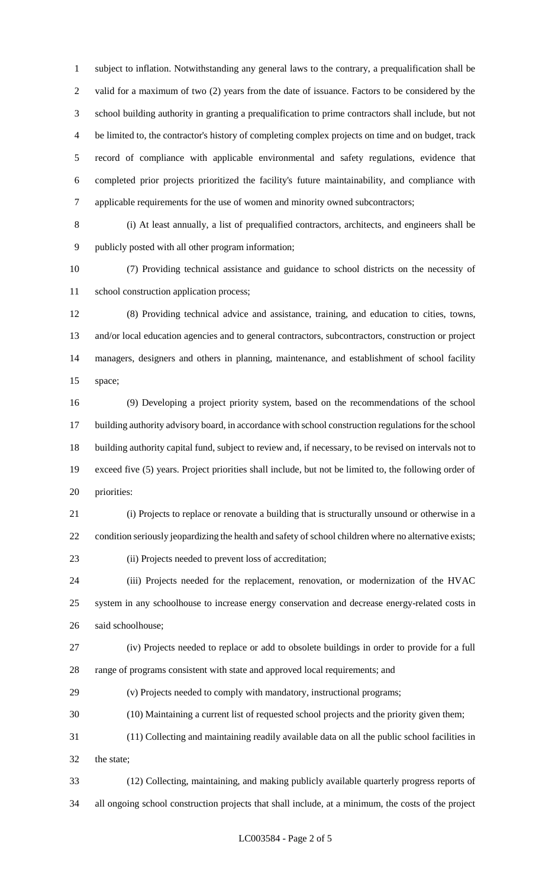subject to inflation. Notwithstanding any general laws to the contrary, a prequalification shall be valid for a maximum of two (2) years from the date of issuance. Factors to be considered by the school building authority in granting a prequalification to prime contractors shall include, but not be limited to, the contractor's history of completing complex projects on time and on budget, track record of compliance with applicable environmental and safety regulations, evidence that completed prior projects prioritized the facility's future maintainability, and compliance with applicable requirements for the use of women and minority owned subcontractors;

 (i) At least annually, a list of prequalified contractors, architects, and engineers shall be publicly posted with all other program information;

 (7) Providing technical assistance and guidance to school districts on the necessity of 11 school construction application process;

 (8) Providing technical advice and assistance, training, and education to cities, towns, and/or local education agencies and to general contractors, subcontractors, construction or project managers, designers and others in planning, maintenance, and establishment of school facility space;

 (9) Developing a project priority system, based on the recommendations of the school building authority advisory board, in accordance with school construction regulations for the school building authority capital fund, subject to review and, if necessary, to be revised on intervals not to exceed five (5) years. Project priorities shall include, but not be limited to, the following order of priorities:

 (i) Projects to replace or renovate a building that is structurally unsound or otherwise in a 22 condition seriously jeopardizing the health and safety of school children where no alternative exists; (ii) Projects needed to prevent loss of accreditation;

 (iii) Projects needed for the replacement, renovation, or modernization of the HVAC system in any schoolhouse to increase energy conservation and decrease energy-related costs in said schoolhouse;

 (iv) Projects needed to replace or add to obsolete buildings in order to provide for a full range of programs consistent with state and approved local requirements; and

(v) Projects needed to comply with mandatory, instructional programs;

(10) Maintaining a current list of requested school projects and the priority given them;

 (11) Collecting and maintaining readily available data on all the public school facilities in the state;

 (12) Collecting, maintaining, and making publicly available quarterly progress reports of all ongoing school construction projects that shall include, at a minimum, the costs of the project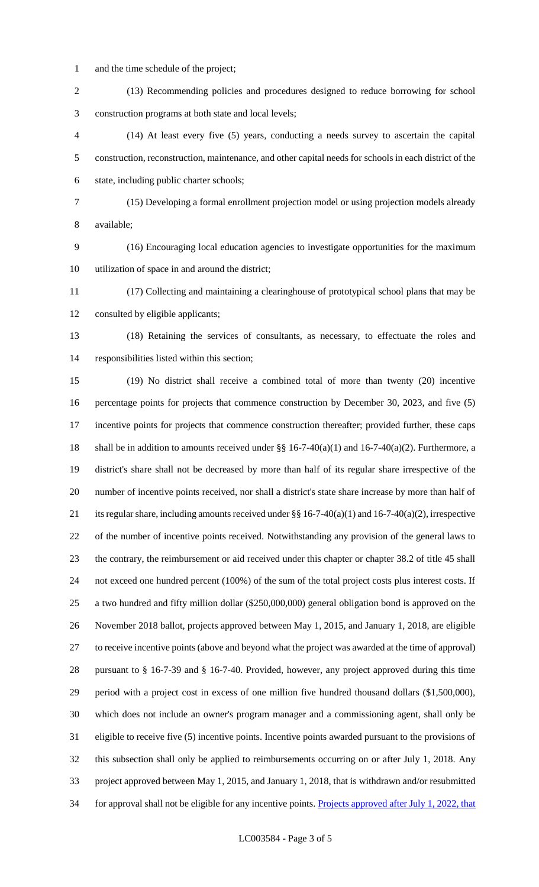- and the time schedule of the project;
- (13) Recommending policies and procedures designed to reduce borrowing for school construction programs at both state and local levels;
- (14) At least every five (5) years, conducting a needs survey to ascertain the capital construction, reconstruction, maintenance, and other capital needs for schools in each district of the state, including public charter schools;
- (15) Developing a formal enrollment projection model or using projection models already available;
- (16) Encouraging local education agencies to investigate opportunities for the maximum utilization of space in and around the district;
- (17) Collecting and maintaining a clearinghouse of prototypical school plans that may be consulted by eligible applicants;
- (18) Retaining the services of consultants, as necessary, to effectuate the roles and responsibilities listed within this section;
- (19) No district shall receive a combined total of more than twenty (20) incentive percentage points for projects that commence construction by December 30, 2023, and five (5) incentive points for projects that commence construction thereafter; provided further, these caps 18 shall be in addition to amounts received under  $\S\S 16-7-40(a)(1)$  and  $16-7-40(a)(2)$ . Furthermore, a district's share shall not be decreased by more than half of its regular share irrespective of the number of incentive points received, nor shall a district's state share increase by more than half of 21 its regular share, including amounts received under §§ 16-7-40(a)(1) and 16-7-40(a)(2), irrespective of the number of incentive points received. Notwithstanding any provision of the general laws to the contrary, the reimbursement or aid received under this chapter or chapter 38.2 of title 45 shall not exceed one hundred percent (100%) of the sum of the total project costs plus interest costs. If a two hundred and fifty million dollar (\$250,000,000) general obligation bond is approved on the November 2018 ballot, projects approved between May 1, 2015, and January 1, 2018, are eligible to receive incentive points (above and beyond what the project was awarded at the time of approval) pursuant to § 16-7-39 and § 16-7-40. Provided, however, any project approved during this time period with a project cost in excess of one million five hundred thousand dollars (\$1,500,000), which does not include an owner's program manager and a commissioning agent, shall only be eligible to receive five (5) incentive points. Incentive points awarded pursuant to the provisions of this subsection shall only be applied to reimbursements occurring on or after July 1, 2018. Any project approved between May 1, 2015, and January 1, 2018, that is withdrawn and/or resubmitted 34 for approval shall not be eligible for any incentive points. Projects approved after July 1, 2022, that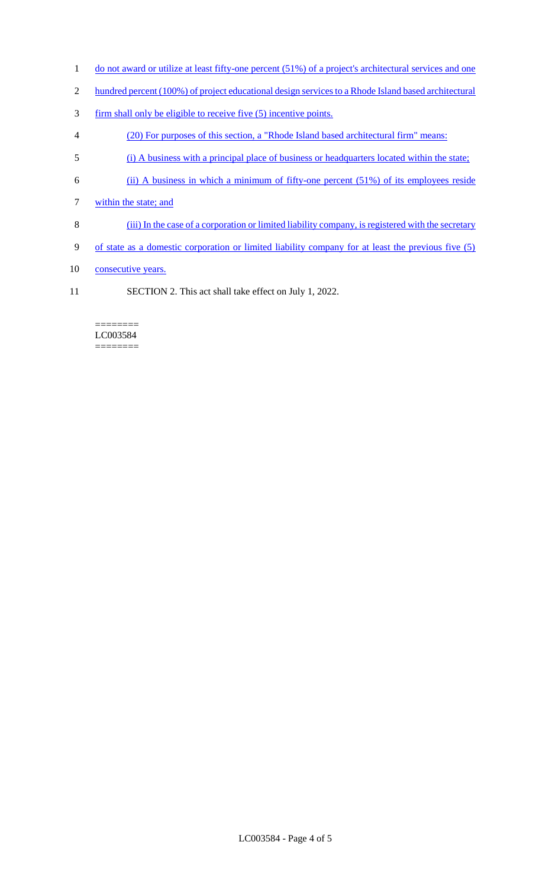- 1 do not award or utilize at least fifty-one percent (51%) of a project's architectural services and one
- 2 hundred percent (100%) of project educational design services to a Rhode Island based architectural
- 3 firm shall only be eligible to receive five (5) incentive points.
- 4 (20) For purposes of this section, a "Rhode Island based architectural firm" means:
- 5 (i) A business with a principal place of business or headquarters located within the state;
- 6 (ii) A business in which a minimum of fifty-one percent (51%) of its employees reside
- 7 within the state; and
- 8 (iii) In the case of a corporation or limited liability company, is registered with the secretary
- 9 of state as a domestic corporation or limited liability company for at least the previous five (5)
- 10 consecutive years.
- 11 SECTION 2. This act shall take effect on July 1, 2022.

#### ======== LC003584 ========